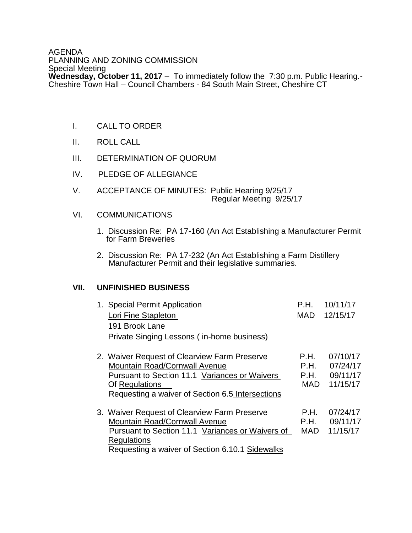## AGENDA PLANNING AND ZONING COMMISSION Special Meeting **Wednesday, October 11, 2017** – To immediately follow the 7:30 p.m. Public Hearing.- Cheshire Town Hall – Council Chambers - 84 South Main Street, Cheshire CT

- I. CALL TO ORDER
- II. ROLL CALL
- III. DETERMINATION OF QUORUM
- IV. PLEDGE OF ALLEGIANCE
- V. ACCEPTANCE OF MINUTES: Public Hearing 9/25/17 Regular Meeting 9/25/17
- VI. COMMUNICATIONS
	- 1. Discussion Re: PA 17-160 (An Act Establishing a Manufacturer Permit for Farm Breweries
- 2. Discussion Re: PA 17-232 (An Act Establishing a Farm Distillery Manufacturer Permit and their legislative summaries.

## **VII. UNFINISHED BUSINESS**

| 1. Special Permit Application<br>Lori Fine Stapleton<br>191 Brook Lane<br>Private Singing Lessons (in-home business)                                                                                        | P.H.<br><b>MAD</b>                 | 10/11/17<br>12/15/17                         |
|-------------------------------------------------------------------------------------------------------------------------------------------------------------------------------------------------------------|------------------------------------|----------------------------------------------|
| 2. Waiver Request of Clearview Farm Preserve<br><b>Mountain Road/Cornwall Avenue</b><br>Pursuant to Section 11.1 Variances or Waivers<br>Of Regulations<br>Requesting a waiver of Section 6.5 Intersections | P.H.<br>P.H.<br>P.H.<br><b>MAD</b> | 07/10/17<br>07/24/17<br>09/11/17<br>11/15/17 |
| 3. Waiver Request of Clearview Farm Preserve<br><b>Mountain Road/Cornwall Avenue</b><br>Pursuant to Section 11.1 Variances or Waivers of<br>Regulations<br>Requesting a waiver of Section 6.10.1 Sidewalks  | P.H.<br>P.H.<br><b>MAD</b>         | 07/24/17<br>09/11/17<br>11/15/17             |